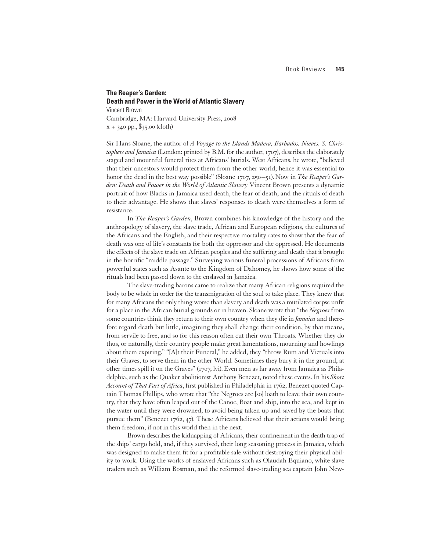## **The Reaper's Garden: Death and Power in the World of Atlantic Slavery** Vincent Brown Cambridge, MA: Harvard University Press, 2008  $x + 340$  pp.,  $$35.00$  (cloth)

Sir Hans Sloane, the author of *A Voyage to the Islands Madera, Barbados, Nieves, S. Christophers and Jamaica* (London: printed by B.M. for the author, 1707), describes the elaborately staged and mournful funeral rites at Africans' burials. West Africans, he wrote, "believed that their ancestors would protect them from the other world; hence it was essential to honor the dead in the best way possible" (Sloane 1707, 250–51). Now in *The Reaper's Garden: Death and Power in the World of Atlantic Slavery* Vincent Brown presents a dynamic portrait of how Blacks in Jamaica used death, the fear of death, and the rituals of death to their advantage. He shows that slaves' responses to death were themselves a form of resistance.

In *The Reaper's Garden*, Brown combines his knowledge of the history and the anthropology of slavery, the slave trade, African and European religions, the cultures of the Africans and the English, and their respective mortality rates to show that the fear of death was one of life's constants for both the oppressor and the oppressed. He documents the effects of the slave trade on African peoples and the suffering and death that it brought in the horrific "middle passage." Surveying various funeral processions of Africans from powerful states such as Asante to the Kingdom of Dahomey, he shows how some of the rituals had been passed down to the enslaved in Jamaica.

The slave-trading barons came to realize that many African religions required the body to be whole in order for the transmigration of the soul to take place. They knew that for many Africans the only thing worse than slavery and death was a mutilated corpse unfit for a place in the African burial grounds or in heaven. Sloane wrote that "the *Negroes* from some countries think they return to their own country when they die in *Jamaica* and therefore regard death but little, imagining they shall change their condition, by that means, from servile to free, and so for this reason often cut their own Throats. Whether they do thus, or naturally, their country people make great lamentations, mourning and howlings about them expiring." "[A]t their Funeral," he added, they "throw Rum and Victuals into their Graves, to serve them in the other World. Sometimes they bury it in the ground, at other times spill it on the Graves"  $(1707, Ivi)$ . Even men as far away from Jamaica as Philadelphia, such as the Quaker abolitionist Anthony Benezet, noted these events. In his *Short Account of That Part of Africa*, first published in Philadelphia in 1762, Benezet quoted Captain Thomas Phillips, who wrote that "the Negroes are [so] loath to leave their own country, that they have often leaped out of the Canoe, Boat and ship, into the sea, and kept in the water until they were drowned, to avoid being taken up and saved by the boats that pursue them" (Benezet 1762, 47). These Africans believed that their actions would bring them freedom, if not in this world then in the next.

Brown describes the kidnapping of Africans, their confinement in the death trap of the ships' cargo hold, and, if they survived, their long seasoning process in Jamaica, which was designed to make them fit for a profitable sale without destroying their physical ability to work. Using the works of enslaved Africans such as Olaudah Equiano, white slave traders such as William Bosman, and the reformed slave-trading sea captain John New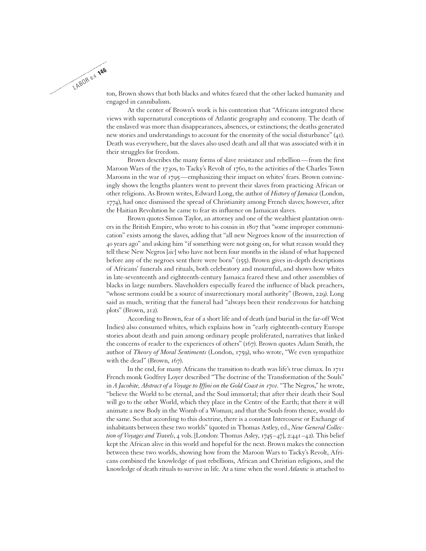ton, Brown shows that both blacks and whites feared that the other lacked humanity and engaged in cannibalism.

LABOR 6:4 **146** 

At the center of Brown's work is his contention that "Africans integrated these views with supernatural conceptions of Atlantic geography and economy. The death of the enslaved was more than disappearances, absences, or extinctions; the deaths generated new stories and understandings to account for the enormity of the social disturbance" (41). Death was everywhere, but the slaves also used death and all that was associated with it in their struggles for freedom.

Brown describes the many forms of slave resistance and rebellion—from the first Maroon Wars of the 1730s, to Tacky's Revolt of 1760, to the activities of the Charles Town Maroons in the war of 1795—emphasizing their impact on whites' fears. Brown convincingly shows the lengths planters went to prevent their slaves from practicing African or other religions. As Brown writes, Edward Long, the author of *History of Jamaica* (London, 1774), had once dismissed the spread of Christianity among French slaves; however, after the Haitian Revolution he came to fear its influence on Jamaican slaves.

Brown quotes Simon Taylor, an attorney and one of the wealthiest plantation owners in the British Empire, who wrote to his cousin in 1807 that "some improper communication" exists among the slaves, adding that "all new Negroes know of the insurrection of 40 years ago" and asking him "if something were not going on, for what reason would they tell these New Negros [*sic*] who have not been four months in the island of what happened before any of the negroes sent there were born" (155). Brown gives in-depth descriptions of Africans' funerals and rituals, both celebratory and mournful, and shows how whites in late-seventeenth and eighteenth-century Jamaica feared these and other assemblies of blacks in large numbers. Slaveholders especially feared the influence of black preachers, "whose sermons could be a source of insurrectionary moral authority" (Brown, 229). Long said as much, writing that the funeral had "always been their rendezvous for hatching plots" (Brown, 212).

According to Brown, fear of a short life and of death (and burial in the far-off West Indies) also consumed whites, which explains how in "early eighteenth-century Europe stories about death and pain among ordinary people proliferated, narratives that linked the concerns of reader to the experiences of others" (167). Brown quotes Adam Smith, the author of *Theory of Moral Sentiments* (London, 1759), who wrote, "We even sympathize with the dead" (Brown, 167).

In the end, for many Africans the transition to death was life's true climax. In 1711 French monk Godfrey Loyer described "The doctrine of the Transformation of the Souls" in *A Jacobite, Abstract of a Voyage to If!ni on the Gold Coast in 1701*. "The Negros," he wrote, "believe the World to be eternal, and the Soul immortal; that after their death their Soul will go to the other World, which they place in the Centre of the Earth; that there it will animate a new Body in the Womb of a Woman; and that the Souls from thence, would do the same. So that according to this doctrine, there is a constant Intercourse or Exchange of inhabitants between these two worlds" (quoted in Thomas Astley, ed., *New General Collection of Voyages and Travels*, 4 vols. [London: Thomas Asley, 1745–47], 2:441–42). This belief kept the African alive in this world and hopeful for the next. Brown makes the connection between these two worlds, showing how from the Maroon Wars to Tacky's Revolt, Africans combined the knowledge of past rebellions, African and Christian religions, and the knowledge of death rituals to survive in life. At a time when the word *Atlantic* is attached to